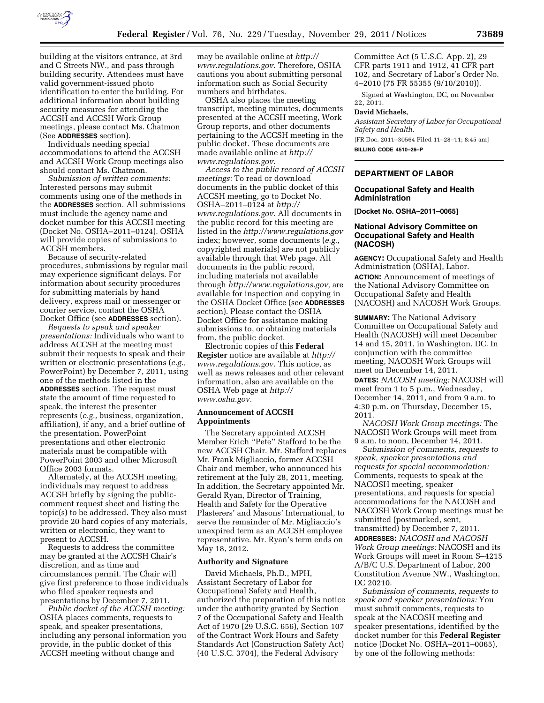

building at the visitors entrance, at 3rd and C Streets NW., and pass through building security. Attendees must have valid government-issued photo identification to enter the building. For additional information about building security measures for attending the ACCSH and ACCSH Work Group meetings, please contact Ms. Chatmon (See **ADDRESSES** section).

Individuals needing special accommodations to attend the ACCSH and ACCSH Work Group meetings also should contact Ms. Chatmon.

*Submission of written comments:*  Interested persons may submit comments using one of the methods in the **ADDRESSES** section. All submissions must include the agency name and docket number for this ACCSH meeting (Docket No. OSHA–2011–0124). OSHA will provide copies of submissions to ACCSH members.

Because of security-related procedures, submissions by regular mail may experience significant delays. For information about security procedures for submitting materials by hand delivery, express mail or messenger or courier service, contact the OSHA Docket Office (see **ADDRESSES** section).

*Requests to speak and speaker presentations:* Individuals who want to address ACCSH at the meeting must submit their requests to speak and their written or electronic presentations (*e.g.,*  PowerPoint) by December 7, 2011, using one of the methods listed in the **ADDRESSES** section. The request must state the amount of time requested to speak, the interest the presenter represents (*e.g.,* business, organization, affiliation), if any, and a brief outline of the presentation. PowerPoint presentations and other electronic materials must be compatible with PowerPoint 2003 and other Microsoft Office 2003 formats.

Alternately, at the ACCSH meeting, individuals may request to address ACCSH briefly by signing the publiccomment request sheet and listing the topic(s) to be addressed. They also must provide 20 hard copies of any materials, written or electronic, they want to present to ACCSH.

Requests to address the committee may be granted at the ACCSH Chair's discretion, and as time and circumstances permit. The Chair will give first preference to those individuals who filed speaker requests and presentations by December 7, 2011.

*Public docket of the ACCSH meeting:*  OSHA places comments, requests to speak, and speaker presentations, including any personal information you provide, in the public docket of this ACCSH meeting without change and

may be available online at *[http://](http://www.regulations.gov)  [www.regulations.gov.](http://www.regulations.gov)* Therefore, OSHA cautions you about submitting personal information such as Social Security numbers and birthdates.

OSHA also places the meeting transcript, meeting minutes, documents presented at the ACCSH meeting, Work Group reports, and other documents pertaining to the ACCSH meeting in the public docket. These documents are made available online at *[http://](http://www.regulations.gov)  [www.regulations.gov.](http://www.regulations.gov)* 

*Access to the public record of ACCSH meetings:* To read or download documents in the public docket of this ACCSH meeting, go to Docket No. OSHA–2011–0124 at *[http://](http://www.regulations.gov) [www.regulations.gov.](http://www.regulations.gov)* All documents in the public record for this meeting are listed in the *<http://www.regulations.gov>*  index; however, some documents (*e.g.,*  copyrighted materials) are not publicly available through that Web page. All documents in the public record, including materials not available through *[http://www.regulations.gov,](http://www.regulations.gov)* are available for inspection and copying in the OSHA Docket Office (see **ADDRESSES** section). Please contact the OSHA Docket Office for assistance making submissions to, or obtaining materials from, the public docket.

Electronic copies of this **Federal Register** notice are available at *[http://](http://www.regulations.gov) [www.regulations.gov.](http://www.regulations.gov)* This notice, as well as news releases and other relevant information, also are available on the OSHA Web page at *[http://](http://www.osha.gov)  [www.osha.gov.](http://www.osha.gov)* 

#### **Announcement of ACCSH Appointments**

The Secretary appointed ACCSH Member Erich ''Pete'' Stafford to be the new ACCSH Chair. Mr. Stafford replaces Mr. Frank Migliaccio, former ACCSH Chair and member, who announced his retirement at the July 28, 2011, meeting. In addition, the Secretary appointed Mr. Gerald Ryan, Director of Training, Health and Safety for the Operative Plasterers' and Masons' International, to serve the remainder of Mr. Migliaccio's unexpired term as an ACCSH employee representative. Mr. Ryan's term ends on May 18, 2012.

### **Authority and Signature**

David Michaels, Ph.D., MPH, Assistant Secretary of Labor for Occupational Safety and Health, authorized the preparation of this notice under the authority granted by Section 7 of the Occupational Safety and Health Act of 1970 (29 U.S.C. 656), Section 107 of the Contract Work Hours and Safety Standards Act (Construction Safety Act) (40 U.S.C. 3704), the Federal Advisory

Committee Act (5 U.S.C. App. 2), 29 CFR parts 1911 and 1912, 41 CFR part 102, and Secretary of Labor's Order No. 4–2010 (75 FR 55355 (9/10/2010)).

Signed at Washington, DC, on November 22, 2011.

#### **David Michaels,**

*Assistant Secretary of Labor for Occupational Safety and Health.*  [FR Doc. 2011–30564 Filed 11–28–11; 8:45 am]

**BILLING CODE 4510–26–P** 

# **DEPARTMENT OF LABOR**

### **Occupational Safety and Health Administration**

**[Docket No. OSHA–2011–0065]** 

### **National Advisory Committee on Occupational Safety and Health (NACOSH)**

**AGENCY:** Occupational Safety and Health Administration (OSHA), Labor. **ACTION:** Announcement of meetings of the National Advisory Committee on Occupational Safety and Health (NACOSH) and NACOSH Work Groups.

**SUMMARY:** The National Advisory Committee on Occupational Safety and Health (NACOSH) will meet December 14 and 15, 2011, in Washington, DC. In conjunction with the committee meeting, NACOSH Work Groups will meet on December 14, 2011. **DATES:** *NACOSH meeting:* NACOSH will meet from 1 to 5 p.m., Wednesday, December 14, 2011, and from 9 a.m. to 4:30 p.m. on Thursday, December 15, 2011.

*NACOSH Work Group meetings:* The NACOSH Work Groups will meet from 9 a.m. to noon, December 14, 2011.

*Submission of comments, requests to speak, speaker presentations and requests for special accommodation:*  Comments, requests to speak at the NACOSH meeting, speaker presentations, and requests for special accommodations for the NACOSH and NACOSH Work Group meetings must be submitted (postmarked, sent, transmitted) by December 7, 2011. **ADDRESSES:** *NACOSH and NACOSH Work Group meetings:* NACOSH and its Work Groups will meet in Room S–4215 A/B/C U.S. Department of Labor, 200 Constitution Avenue NW., Washington, DC 20210.

*Submission of comments, requests to speak and speaker presentations:* You must submit comments, requests to speak at the NACOSH meeting and speaker presentations, identified by the docket number for this **Federal Register**  notice (Docket No. OSHA–2011–0065), by one of the following methods: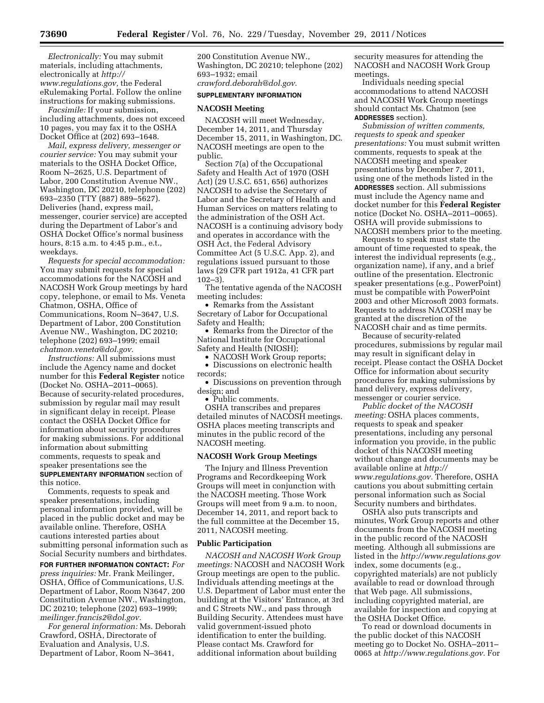*Electronically:* You may submit materials, including attachments, electronically at *[http://](http://www.regulations.gov) [www.regulations.gov,](http://www.regulations.gov)* the Federal eRulemaking Portal. Follow the online instructions for making submissions.

*Facsimile:* If your submission, including attachments, does not exceed 10 pages, you may fax it to the OSHA Docket Office at (202) 693–1648.

*Mail, express delivery, messenger or courier service:* You may submit your materials to the OSHA Docket Office, Room N–2625, U.S. Department of Labor, 200 Constitution Avenue NW., Washington, DC 20210, telephone (202) 693–2350 (TTY (887) 889–5627). Deliveries (hand, express mail, messenger, courier service) are accepted during the Department of Labor's and OSHA Docket Office's normal business hours, 8:15 a.m. to 4:45 p.m., e.t., weekdays.

*Requests for special accommodation:*  You may submit requests for special accommodations for the NACOSH and NACOSH Work Group meetings by hard copy, telephone, or email to Ms. Veneta Chatmon, OSHA, Office of Communications, Room N–3647, U.S. Department of Labor, 200 Constitution Avenue NW., Washington, DC 20210; telephone (202) 693–1999; email *[chatmon.veneta@dol.gov.](mailto:chatmon.veneta@dol.gov)* 

*Instructions:* All submissions must include the Agency name and docket number for this **Federal Register** notice (Docket No. OSHA–2011–0065). Because of security-related procedures, submission by regular mail may result in significant delay in receipt. Please contact the OSHA Docket Office for information about security procedures for making submissions. For additional information about submitting comments, requests to speak and speaker presentations see the **SUPPLEMENTARY INFORMATION** section of this notice.

Comments, requests to speak and speaker presentations, including personal information provided, will be placed in the public docket and may be available online. Therefore, OSHA cautions interested parties about submitting personal information such as Social Security numbers and birthdates.

**FOR FURTHER INFORMATION CONTACT:** *For press inquiries:* Mr. Frank Meilinger, OSHA, Office of Communications, U.S. Department of Labor, Room N3647, 200 Constitution Avenue NW., Washington, DC 20210; telephone (202) 693–1999; *[meilinger.francis2@dol.gov.](mailto:meilinger.francis2@dol.gov)* 

*For general information:* Ms. Deborah Crawford, OSHA, Directorate of Evaluation and Analysis, U.S. Department of Labor, Room N–3641,

200 Constitution Avenue NW., Washington, DC 20210; telephone (202) 693–1932; email *[crawford.deborah@dol.gov.](mailto:crawford.deborah@dol.gov)* 

#### **SUPPLEMENTARY INFORMATION**

#### **NACOSH Meeting**

NACOSH will meet Wednesday, December 14, 2011, and Thursday December 15, 2011, in Washington, DC. NACOSH meetings are open to the public.

Section 7(a) of the Occupational Safety and Health Act of 1970 (OSH Act) (29 U.S.C. 651, 656) authorizes NACOSH to advise the Secretary of Labor and the Secretary of Health and Human Services on matters relating to the administration of the OSH Act. NACOSH is a continuing advisory body and operates in accordance with the OSH Act, the Federal Advisory Committee Act (5 U.S.C. App. 2), and regulations issued pursuant to those laws (29 CFR part 1912a, 41 CFR part 102–3).

The tentative agenda of the NACOSH meeting includes:

• Remarks from the Assistant Secretary of Labor for Occupational Safety and Health;

• Řemarks from the Director of the National Institute for Occupational Safety and Health (NIOSH);

• NACOSH Work Group reports;

• Discussions on electronic health records;

• Discussions on prevention through design; and

• Public comments.

OSHA transcribes and prepares detailed minutes of NACOSH meetings. OSHA places meeting transcripts and minutes in the public record of the NACOSH meeting.

#### **NACOSH Work Group Meetings**

The Injury and Illness Prevention Programs and Recordkeeping Work Groups will meet in conjunction with the NACOSH meeting. Those Work Groups will meet from 9 a.m. to noon, December 14, 2011, and report back to the full committee at the December 15, 2011, NACOSH meeting.

### **Public Participation**

*NACOSH and NACOSH Work Group meetings:* NACOSH and NACOSH Work Group meetings are open to the public. Individuals attending meetings at the U.S. Department of Labor must enter the building at the Visitors' Entrance, at 3rd and C Streets NW., and pass through Building Security. Attendees must have valid government-issued photo identification to enter the building. Please contact Ms. Crawford for additional information about building

security measures for attending the NACOSH and NACOSH Work Group meetings.

Individuals needing special accommodations to attend NACOSH and NACOSH Work Group meetings should contact Ms. Chatmon (see **ADDRESSES** section).

*Submission of written comments, requests to speak and speaker presentations:* You must submit written comments, requests to speak at the NACOSH meeting and speaker presentations by December 7, 2011, using one of the methods listed in the **ADDRESSES** section. All submissions must include the Agency name and docket number for this **Federal Register**  notice (Docket No. OSHA–2011–0065). OSHA will provide submissions to NACOSH members prior to the meeting.

Requests to speak must state the amount of time requested to speak, the interest the individual represents (e.g., organization name), if any, and a brief outline of the presentation. Electronic speaker presentations (e.g., PowerPoint) must be compatible with PowerPoint 2003 and other Microsoft 2003 formats. Requests to address NACOSH may be granted at the discretion of the NACOSH chair and as time permits.

Because of security-related procedures, submissions by regular mail may result in significant delay in receipt. Please contact the OSHA Docket Office for information about security procedures for making submissions by hand delivery, express delivery, messenger or courier service.

*Public docket of the NACOSH meeting:* OSHA places comments, requests to speak and speaker presentations, including any personal information you provide, in the public docket of this NACOSH meeting without change and documents may be available online at *[http://](http://www.regulations.gov)  [www.regulations.gov.](http://www.regulations.gov)* Therefore, OSHA cautions you about submitting certain personal information such as Social Security numbers and birthdates.

OSHA also puts transcripts and minutes, Work Group reports and other documents from the NACOSH meeting in the public record of the NACOSH meeting. Although all submissions are listed in the *<http://www.regulations.gov>*  index, some documents (e.g., copyrighted materials) are not publicly available to read or download through that Web page. All submissions, including copyrighted material, are available for inspection and copying at the OSHA Docket Office.

To read or download documents in the public docket of this NACOSH meeting go to Docket No. OSHA–2011– 0065 at *[http://www.regulations.gov.](http://www.regulations.gov)* For